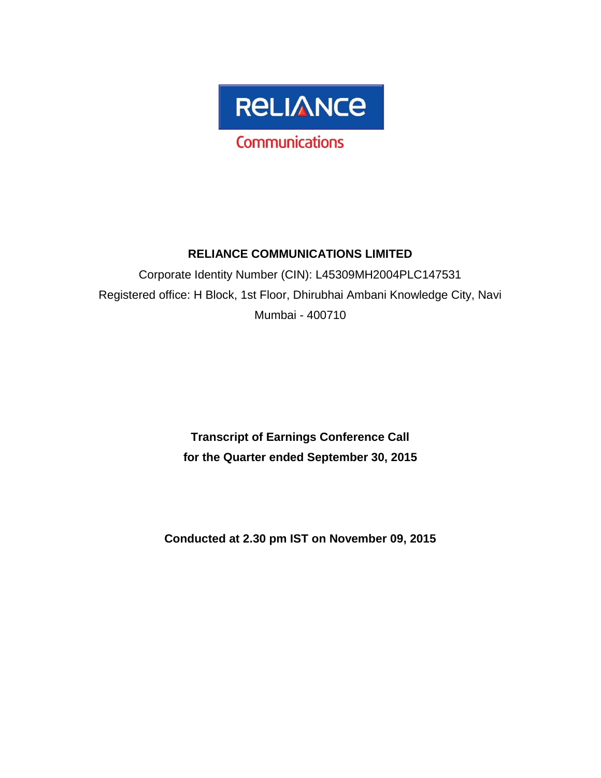

## **RELIANCE COMMUNICATIONS LIMITED**

Corporate Identity Number (CIN): L45309MH2004PLC147531 Registered office: H Block, 1st Floor, Dhirubhai Ambani Knowledge City, Navi Mumbai - 400710

> **Transcript of Earnings Conference Call for the Quarter ended September 30, 2015**

**Conducted at 2.30 pm IST on November 09, 2015**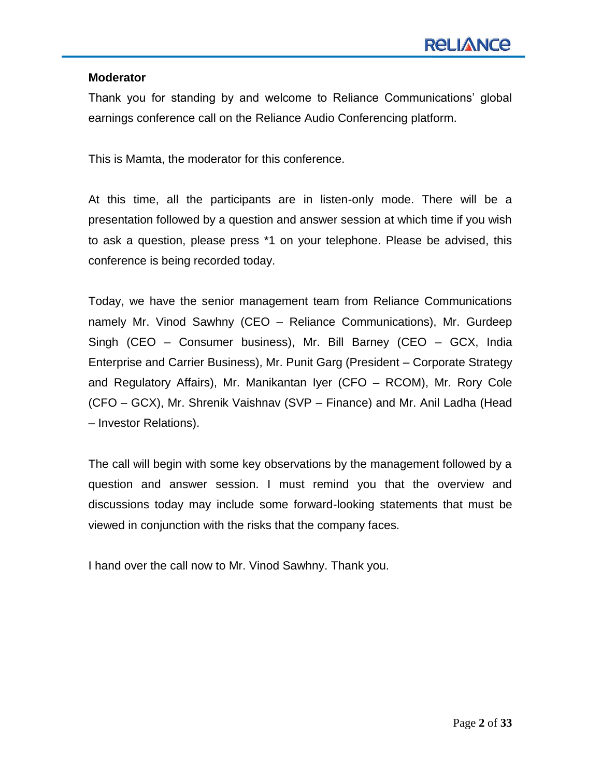#### **Moderator**

Thank you for standing by and welcome to Reliance Communications" global earnings conference call on the Reliance Audio Conferencing platform.

This is Mamta, the moderator for this conference.

At this time, all the participants are in listen-only mode. There will be a presentation followed by a question and answer session at which time if you wish to ask a question, please press \*1 on your telephone. Please be advised, this conference is being recorded today.

Today, we have the senior management team from Reliance Communications namely Mr. Vinod Sawhny (CEO – Reliance Communications), Mr. Gurdeep Singh (CEO – Consumer business), Mr. Bill Barney (CEO – GCX, India Enterprise and Carrier Business), Mr. Punit Garg (President – Corporate Strategy and Regulatory Affairs), Mr. Manikantan Iyer (CFO – RCOM), Mr. Rory Cole (CFO – GCX), Mr. Shrenik Vaishnav (SVP – Finance) and Mr. Anil Ladha (Head – Investor Relations).

The call will begin with some key observations by the management followed by a question and answer session. I must remind you that the overview and discussions today may include some forward-looking statements that must be viewed in conjunction with the risks that the company faces.

I hand over the call now to Mr. Vinod Sawhny. Thank you.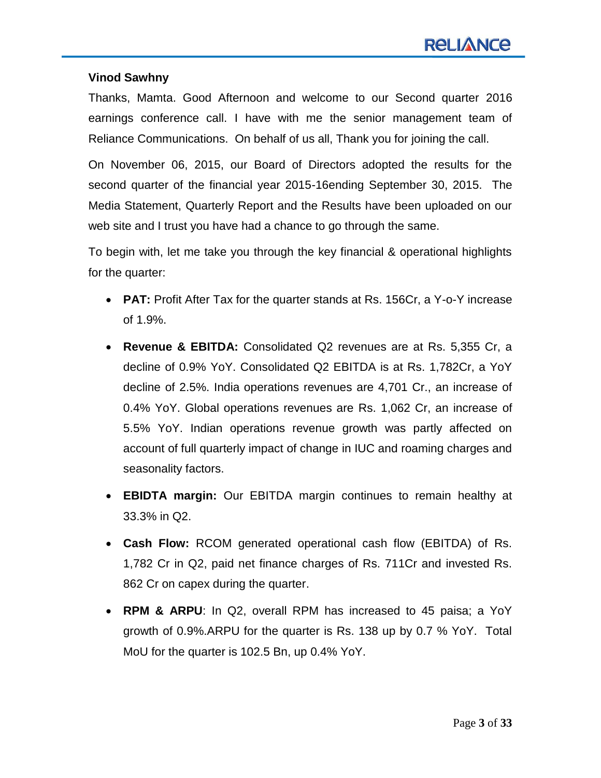## **Vinod Sawhny**

Thanks, Mamta. Good Afternoon and welcome to our Second quarter 2016 earnings conference call. I have with me the senior management team of Reliance Communications. On behalf of us all, Thank you for joining the call.

On November 06, 2015, our Board of Directors adopted the results for the second quarter of the financial year 2015-16ending September 30, 2015. The Media Statement, Quarterly Report and the Results have been uploaded on our web site and I trust you have had a chance to go through the same.

To begin with, let me take you through the key financial & operational highlights for the quarter:

- **PAT:** Profit After Tax for the quarter stands at Rs. 156Cr, a Y-o-Y increase of 1.9%.
- **Revenue & EBITDA:** Consolidated Q2 revenues are at Rs. 5,355 Cr, a decline of 0.9% YoY. Consolidated Q2 EBITDA is at Rs. 1,782Cr, a YoY decline of 2.5%. India operations revenues are 4,701 Cr., an increase of 0.4% YoY. Global operations revenues are Rs. 1,062 Cr, an increase of 5.5% YoY. Indian operations revenue growth was partly affected on account of full quarterly impact of change in IUC and roaming charges and seasonality factors.
- **EBIDTA margin:** Our EBITDA margin continues to remain healthy at 33.3% in Q2.
- **Cash Flow:** RCOM generated operational cash flow (EBITDA) of Rs. 1,782 Cr in Q2, paid net finance charges of Rs. 711Cr and invested Rs. 862 Cr on capex during the quarter.
- **RPM & ARPU**: In Q2, overall RPM has increased to 45 paisa; a YoY growth of 0.9%.ARPU for the quarter is Rs. 138 up by 0.7 % YoY. Total MoU for the quarter is 102.5 Bn, up 0.4% YoY.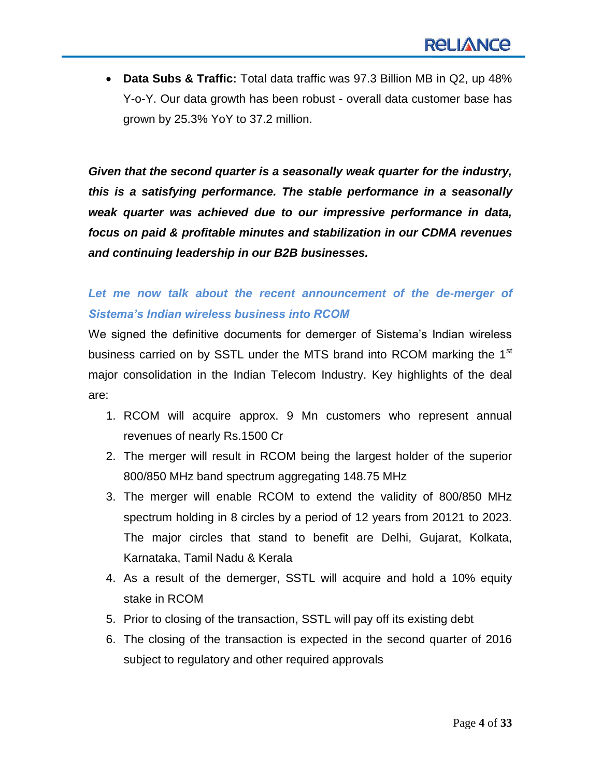**Data Subs & Traffic:** Total data traffic was 97.3 Billion MB in Q2, up 48% Y-o-Y. Our data growth has been robust - overall data customer base has grown by 25.3% YoY to 37.2 million.

*Given that the second quarter is a seasonally weak quarter for the industry, this is a satisfying performance. The stable performance in a seasonally weak quarter was achieved due to our impressive performance in data, focus on paid & profitable minutes and stabilization in our CDMA revenues and continuing leadership in our B2B businesses.*

## Let me now talk about the recent announcement of the de-merger of *Sistema's Indian wireless business into RCOM*

We signed the definitive documents for demerger of Sistema's Indian wireless business carried on by SSTL under the MTS brand into RCOM marking the 1<sup>st</sup> major consolidation in the Indian Telecom Industry. Key highlights of the deal are:

- 1. RCOM will acquire approx. 9 Mn customers who represent annual revenues of nearly Rs.1500 Cr
- 2. The merger will result in RCOM being the largest holder of the superior 800/850 MHz band spectrum aggregating 148.75 MHz
- 3. The merger will enable RCOM to extend the validity of 800/850 MHz spectrum holding in 8 circles by a period of 12 years from 20121 to 2023. The major circles that stand to benefit are Delhi, Gujarat, Kolkata, Karnataka, Tamil Nadu & Kerala
- 4. As a result of the demerger, SSTL will acquire and hold a 10% equity stake in RCOM
- 5. Prior to closing of the transaction, SSTL will pay off its existing debt
- 6. The closing of the transaction is expected in the second quarter of 2016 subject to regulatory and other required approvals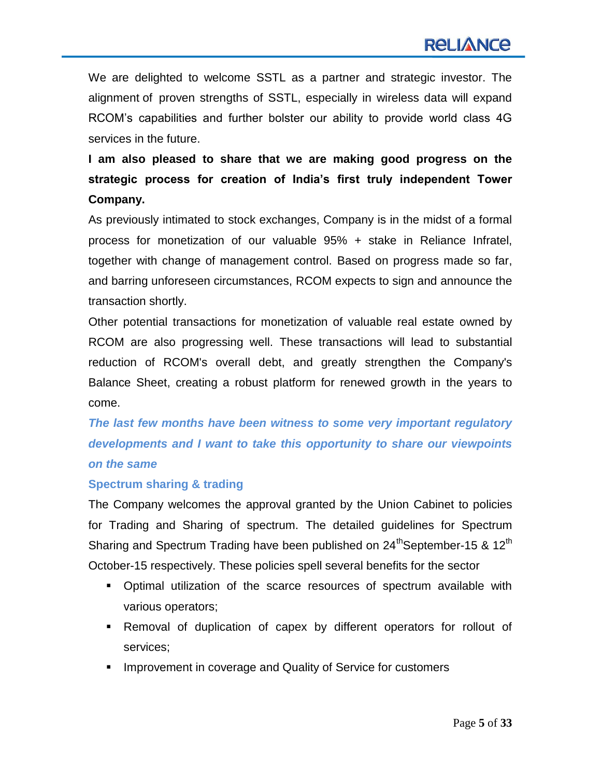We are delighted to welcome SSTL as a partner and strategic investor. The alignment of proven strengths of SSTL, especially in wireless data will expand RCOM"s capabilities and further bolster our ability to provide world class 4G services in the future.

**I am also pleased to share that we are making good progress on the strategic process for creation of India's first truly independent Tower Company.**

As previously intimated to stock exchanges, Company is in the midst of a formal process for monetization of our valuable 95% + stake in Reliance Infratel, together with change of management control. Based on progress made so far, and barring unforeseen circumstances, RCOM expects to sign and announce the transaction shortly.

Other potential transactions for monetization of valuable real estate owned by RCOM are also progressing well. These transactions will lead to substantial reduction of RCOM's overall debt, and greatly strengthen the Company's Balance Sheet, creating a robust platform for renewed growth in the years to come.

*The last few months have been witness to some very important regulatory developments and I want to take this opportunity to share our viewpoints on the same*

#### **Spectrum sharing & trading**

The Company welcomes the approval granted by the Union Cabinet to policies for Trading and Sharing of spectrum. The detailed guidelines for Spectrum Sharing and Spectrum Trading have been published on 24<sup>th</sup>September-15 & 12<sup>th</sup> October-15 respectively. These policies spell several benefits for the sector

- Optimal utilization of the scarce resources of spectrum available with various operators;
- Removal of duplication of capex by different operators for rollout of services;
- **IMPROVEMENT IN COVET AND QUALITY OF SERVICE for CUSTOMERS**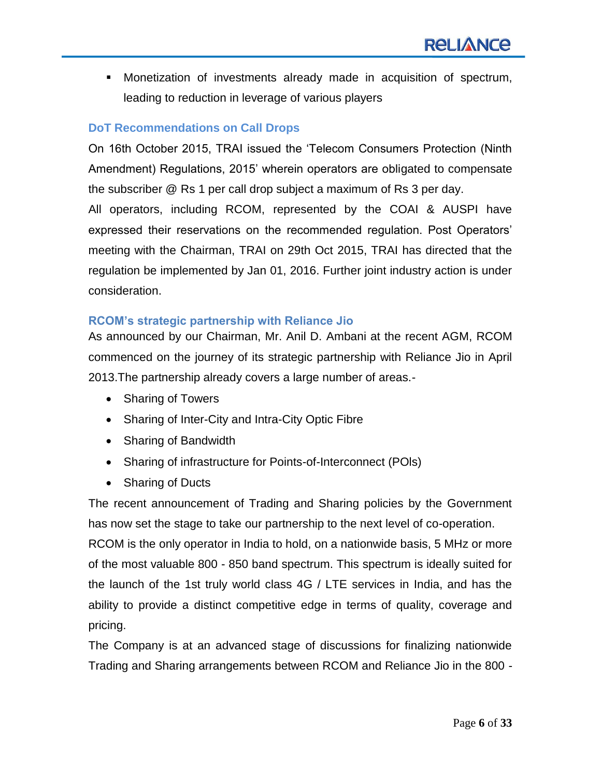Monetization of investments already made in acquisition of spectrum, leading to reduction in leverage of various players

## **DoT Recommendations on Call Drops**

On 16th October 2015, TRAI issued the "Telecom Consumers Protection (Ninth Amendment) Regulations, 2015" wherein operators are obligated to compensate the subscriber @ Rs 1 per call drop subject a maximum of Rs 3 per day.

All operators, including RCOM, represented by the COAI & AUSPI have expressed their reservations on the recommended regulation. Post Operators" meeting with the Chairman, TRAI on 29th Oct 2015, TRAI has directed that the regulation be implemented by Jan 01, 2016. Further joint industry action is under consideration.

## **RCOM's strategic partnership with Reliance Jio**

As announced by our Chairman, Mr. Anil D. Ambani at the recent AGM, RCOM commenced on the journey of its strategic partnership with Reliance Jio in April 2013.The partnership already covers a large number of areas.-

- Sharing of Towers
- Sharing of Inter-City and Intra-City Optic Fibre
- Sharing of Bandwidth
- Sharing of infrastructure for Points-of-Interconnect (POIs)
- Sharing of Ducts

The recent announcement of Trading and Sharing policies by the Government has now set the stage to take our partnership to the next level of co-operation.

RCOM is the only operator in India to hold, on a nationwide basis, 5 MHz or more of the most valuable 800 - 850 band spectrum. This spectrum is ideally suited for the launch of the 1st truly world class 4G / LTE services in India, and has the ability to provide a distinct competitive edge in terms of quality, coverage and pricing.

The Company is at an advanced stage of discussions for finalizing nationwide Trading and Sharing arrangements between RCOM and Reliance Jio in the 800 -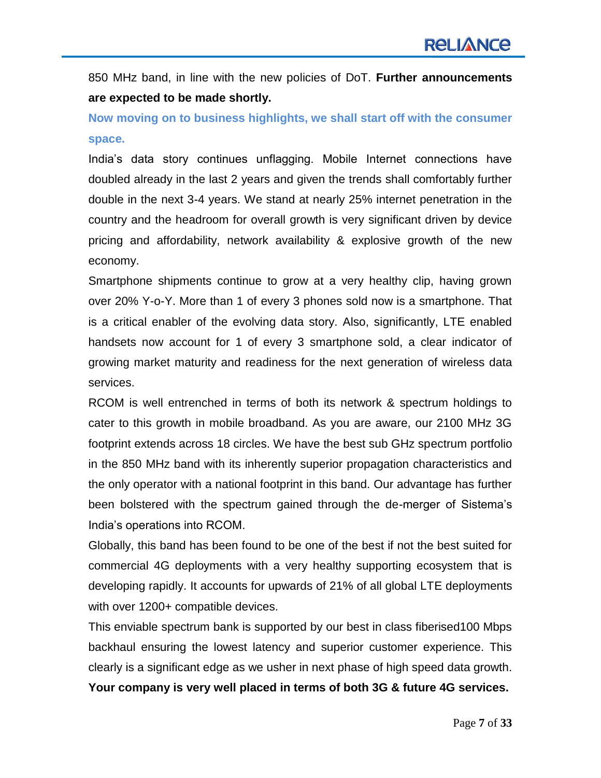850 MHz band, in line with the new policies of DoT. **Further announcements are expected to be made shortly.**

**Now moving on to business highlights, we shall start off with the consumer space.**

India"s data story continues unflagging. Mobile Internet connections have doubled already in the last 2 years and given the trends shall comfortably further double in the next 3-4 years. We stand at nearly 25% internet penetration in the country and the headroom for overall growth is very significant driven by device pricing and affordability, network availability & explosive growth of the new economy.

Smartphone shipments continue to grow at a very healthy clip, having grown over 20% Y-o-Y. More than 1 of every 3 phones sold now is a smartphone. That is a critical enabler of the evolving data story. Also, significantly, LTE enabled handsets now account for 1 of every 3 smartphone sold, a clear indicator of growing market maturity and readiness for the next generation of wireless data services.

RCOM is well entrenched in terms of both its network & spectrum holdings to cater to this growth in mobile broadband. As you are aware, our 2100 MHz 3G footprint extends across 18 circles. We have the best sub GHz spectrum portfolio in the 850 MHz band with its inherently superior propagation characteristics and the only operator with a national footprint in this band. Our advantage has further been bolstered with the spectrum gained through the de-merger of Sistema"s India"s operations into RCOM.

Globally, this band has been found to be one of the best if not the best suited for commercial 4G deployments with a very healthy supporting ecosystem that is developing rapidly. It accounts for upwards of 21% of all global LTE deployments with over 1200+ compatible devices.

This enviable spectrum bank is supported by our best in class fiberised100 Mbps backhaul ensuring the lowest latency and superior customer experience. This clearly is a significant edge as we usher in next phase of high speed data growth.

**Your company is very well placed in terms of both 3G & future 4G services.**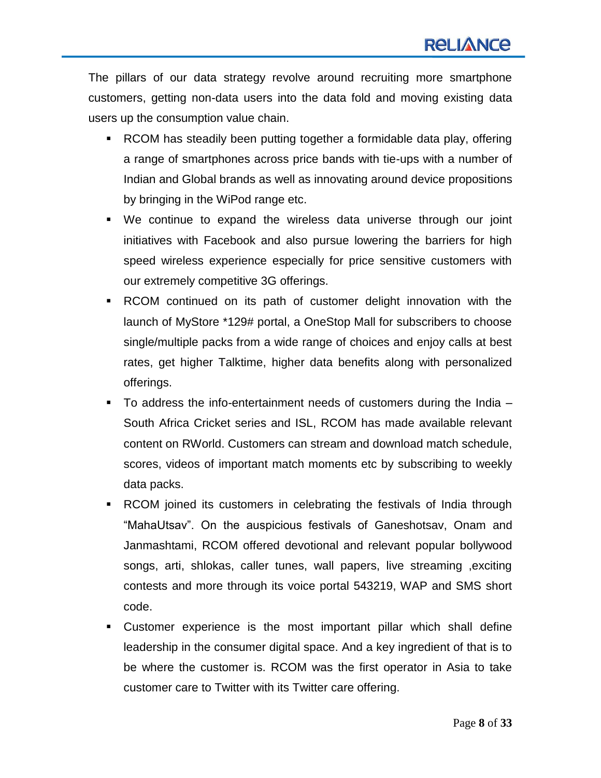The pillars of our data strategy revolve around recruiting more smartphone customers, getting non-data users into the data fold and moving existing data users up the consumption value chain.

- RCOM has steadily been putting together a formidable data play, offering a range of smartphones across price bands with tie-ups with a number of Indian and Global brands as well as innovating around device propositions by bringing in the WiPod range etc.
- We continue to expand the wireless data universe through our joint initiatives with Facebook and also pursue lowering the barriers for high speed wireless experience especially for price sensitive customers with our extremely competitive 3G offerings.
- RCOM continued on its path of customer delight innovation with the launch of MyStore \*129# portal, a OneStop Mall for subscribers to choose single/multiple packs from a wide range of choices and enjoy calls at best rates, get higher Talktime, higher data benefits along with personalized offerings.
- To address the info-entertainment needs of customers during the India South Africa Cricket series and ISL, RCOM has made available relevant content on RWorld. Customers can stream and download match schedule, scores, videos of important match moments etc by subscribing to weekly data packs.
- **RCOM** joined its customers in celebrating the festivals of India through "MahaUtsav". On the auspicious festivals of Ganeshotsav, Onam and Janmashtami, RCOM offered devotional and relevant popular bollywood songs, arti, shlokas, caller tunes, wall papers, live streaming ,exciting contests and more through its voice portal 543219, WAP and SMS short code.
- Customer experience is the most important pillar which shall define leadership in the consumer digital space. And a key ingredient of that is to be where the customer is. RCOM was the first operator in Asia to take customer care to Twitter with its Twitter care offering.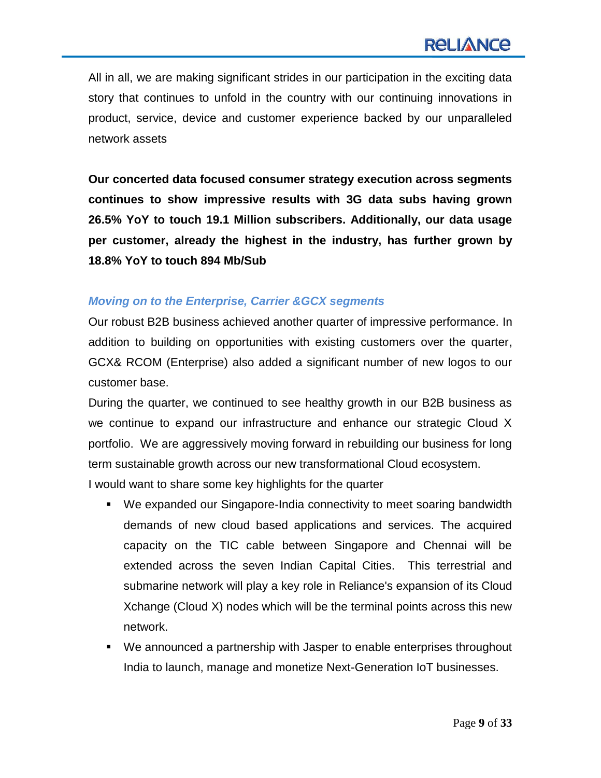All in all, we are making significant strides in our participation in the exciting data story that continues to unfold in the country with our continuing innovations in product, service, device and customer experience backed by our unparalleled network assets

**Our concerted data focused consumer strategy execution across segments continues to show impressive results with 3G data subs having grown 26.5% YoY to touch 19.1 Million subscribers. Additionally, our data usage per customer, already the highest in the industry, has further grown by 18.8% YoY to touch 894 Mb/Sub**

#### *Moving on to the Enterprise, Carrier &GCX segments*

Our robust B2B business achieved another quarter of impressive performance. In addition to building on opportunities with existing customers over the quarter, GCX& RCOM (Enterprise) also added a significant number of new logos to our customer base.

During the quarter, we continued to see healthy growth in our B2B business as we continue to expand our infrastructure and enhance our strategic Cloud X portfolio. We are aggressively moving forward in rebuilding our business for long term sustainable growth across our new transformational Cloud ecosystem.

I would want to share some key highlights for the quarter

- We expanded our Singapore-India connectivity to meet soaring bandwidth demands of new cloud based applications and services. The acquired capacity on the TIC cable between Singapore and Chennai will be extended across the seven Indian Capital Cities. This terrestrial and submarine network will play a key role in Reliance's expansion of its Cloud Xchange (Cloud X) nodes which will be the terminal points across this new network.
- We announced a partnership with Jasper to enable enterprises throughout India to launch, manage and monetize Next-Generation IoT businesses.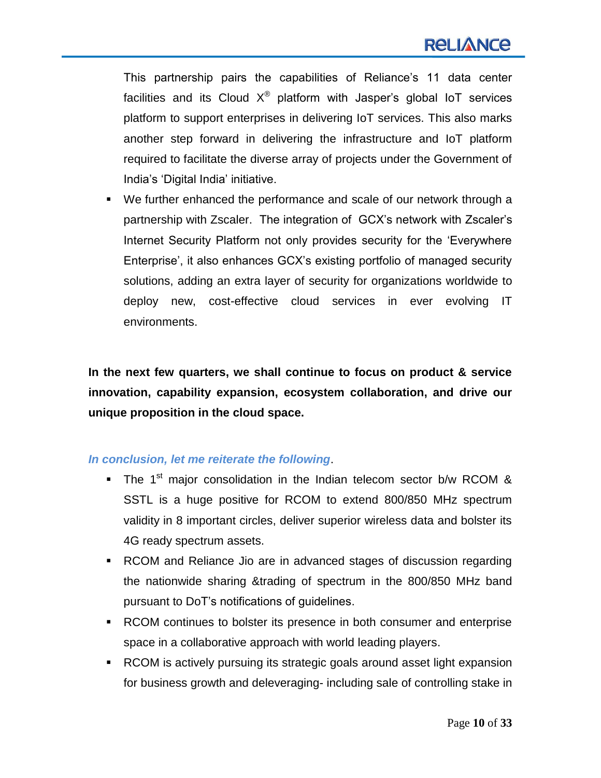This partnership pairs the capabilities of Reliance"s 11 data center facilities and its Cloud  $X^{\circledast}$  platform with Jasper's global IoT services platform to support enterprises in delivering IoT services. This also marks another step forward in delivering the infrastructure and IoT platform required to facilitate the diverse array of projects under the Government of India"s "Digital India" initiative.

 We further enhanced the performance and scale of our network through a partnership with Zscaler. The integration of GCX"s network with Zscaler"s Internet Security Platform not only provides security for the "Everywhere Enterprise", it also enhances GCX"s existing portfolio of managed security solutions, adding an extra layer of security for organizations worldwide to deploy new, cost-effective cloud services in ever evolving IT environments.

**In the next few quarters, we shall continue to focus on product & service innovation, capability expansion, ecosystem collaboration, and drive our unique proposition in the cloud space.** 

#### *In conclusion, let me reiterate the following*.

- The 1<sup>st</sup> major consolidation in the Indian telecom sector b/w RCOM  $\&$ SSTL is a huge positive for RCOM to extend 800/850 MHz spectrum validity in 8 important circles, deliver superior wireless data and bolster its 4G ready spectrum assets.
- RCOM and Reliance Jio are in advanced stages of discussion regarding the nationwide sharing &trading of spectrum in the 800/850 MHz band pursuant to DoT"s notifications of guidelines.
- RCOM continues to bolster its presence in both consumer and enterprise space in a collaborative approach with world leading players.
- RCOM is actively pursuing its strategic goals around asset light expansion for business growth and deleveraging- including sale of controlling stake in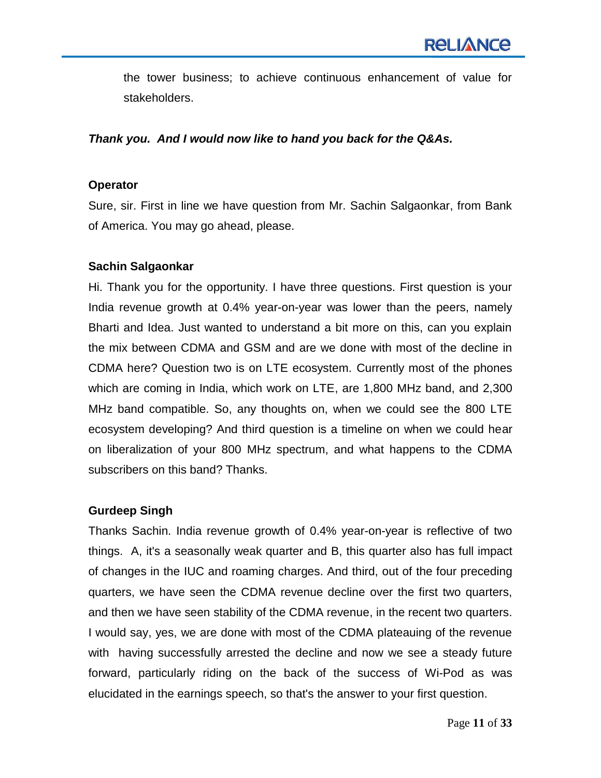the tower business; to achieve continuous enhancement of value for stakeholders.

#### *Thank you. And I would now like to hand you back for the Q&As.*

#### **Operator**

Sure, sir. First in line we have question from Mr. Sachin Salgaonkar, from Bank of America. You may go ahead, please.

## **Sachin Salgaonkar**

Hi. Thank you for the opportunity. I have three questions. First question is your India revenue growth at 0.4% year-on-year was lower than the peers, namely Bharti and Idea. Just wanted to understand a bit more on this, can you explain the mix between CDMA and GSM and are we done with most of the decline in CDMA here? Question two is on LTE ecosystem. Currently most of the phones which are coming in India, which work on LTE, are 1,800 MHz band, and 2,300 MHz band compatible. So, any thoughts on, when we could see the 800 LTE ecosystem developing? And third question is a timeline on when we could hear on liberalization of your 800 MHz spectrum, and what happens to the CDMA subscribers on this band? Thanks.

## **Gurdeep Singh**

Thanks Sachin. India revenue growth of 0.4% year-on-year is reflective of two things. A, it's a seasonally weak quarter and B, this quarter also has full impact of changes in the IUC and roaming charges. And third, out of the four preceding quarters, we have seen the CDMA revenue decline over the first two quarters, and then we have seen stability of the CDMA revenue, in the recent two quarters. I would say, yes, we are done with most of the CDMA plateauing of the revenue with having successfully arrested the decline and now we see a steady future forward, particularly riding on the back of the success of Wi-Pod as was elucidated in the earnings speech, so that's the answer to your first question.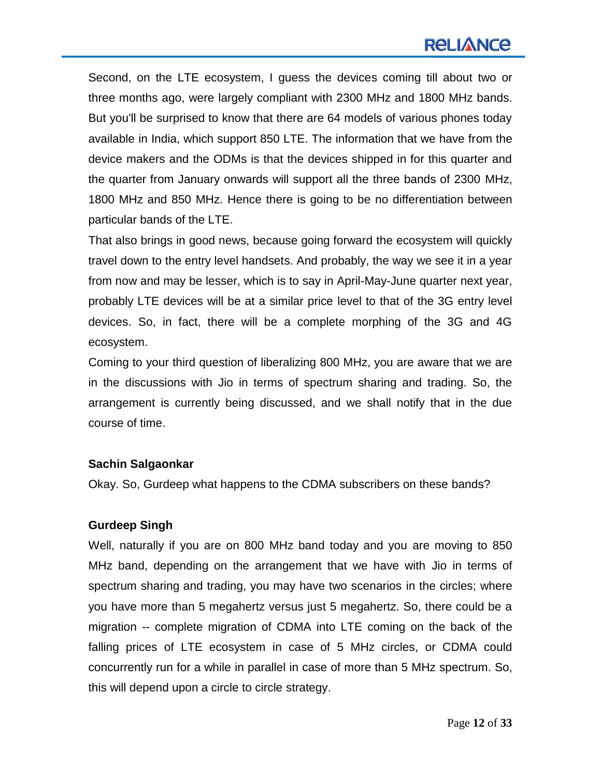# **RELIANCE**

Second, on the LTE ecosystem, I guess the devices coming till about two or three months ago, were largely compliant with 2300 MHz and 1800 MHz bands. But you'll be surprised to know that there are 64 models of various phones today available in India, which support 850 LTE. The information that we have from the device makers and the ODMs is that the devices shipped in for this quarter and the quarter from January onwards will support all the three bands of 2300 MHz, 1800 MHz and 850 MHz. Hence there is going to be no differentiation between particular bands of the LTE.

That also brings in good news, because going forward the ecosystem will quickly travel down to the entry level handsets. And probably, the way we see it in a year from now and may be lesser, which is to say in April-May-June quarter next year, probably LTE devices will be at a similar price level to that of the 3G entry level devices. So, in fact, there will be a complete morphing of the 3G and 4G ecosystem.

Coming to your third question of liberalizing 800 MHz, you are aware that we are in the discussions with Jio in terms of spectrum sharing and trading. So, the arrangement is currently being discussed, and we shall notify that in the due course of time.

#### **Sachin Salgaonkar**

Okay. So, Gurdeep what happens to the CDMA subscribers on these bands?

#### **Gurdeep Singh**

Well, naturally if you are on 800 MHz band today and you are moving to 850 MHz band, depending on the arrangement that we have with Jio in terms of spectrum sharing and trading, you may have two scenarios in the circles; where you have more than 5 megahertz versus just 5 megahertz. So, there could be a migration -- complete migration of CDMA into LTE coming on the back of the falling prices of LTE ecosystem in case of 5 MHz circles, or CDMA could concurrently run for a while in parallel in case of more than 5 MHz spectrum. So, this will depend upon a circle to circle strategy.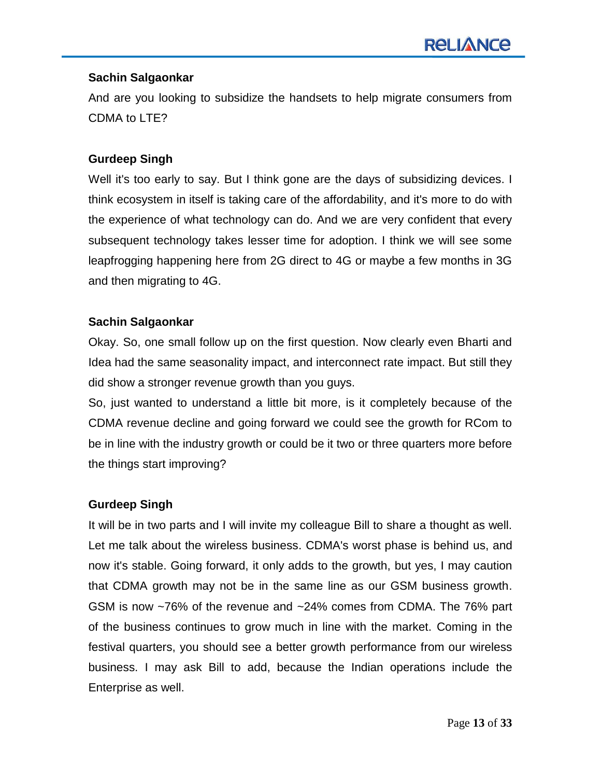## **Sachin Salgaonkar**

And are you looking to subsidize the handsets to help migrate consumers from CDMA to LTE?

## **Gurdeep Singh**

Well it's too early to say. But I think gone are the days of subsidizing devices. I think ecosystem in itself is taking care of the affordability, and it's more to do with the experience of what technology can do. And we are very confident that every subsequent technology takes lesser time for adoption. I think we will see some leapfrogging happening here from 2G direct to 4G or maybe a few months in 3G and then migrating to 4G.

## **Sachin Salgaonkar**

Okay. So, one small follow up on the first question. Now clearly even Bharti and Idea had the same seasonality impact, and interconnect rate impact. But still they did show a stronger revenue growth than you guys.

So, just wanted to understand a little bit more, is it completely because of the CDMA revenue decline and going forward we could see the growth for RCom to be in line with the industry growth or could be it two or three quarters more before the things start improving?

#### **Gurdeep Singh**

It will be in two parts and I will invite my colleague Bill to share a thought as well. Let me talk about the wireless business. CDMA's worst phase is behind us, and now it's stable. Going forward, it only adds to the growth, but yes, I may caution that CDMA growth may not be in the same line as our GSM business growth. GSM is now ~76% of the revenue and ~24% comes from CDMA. The 76% part of the business continues to grow much in line with the market. Coming in the festival quarters, you should see a better growth performance from our wireless business. I may ask Bill to add, because the Indian operations include the Enterprise as well.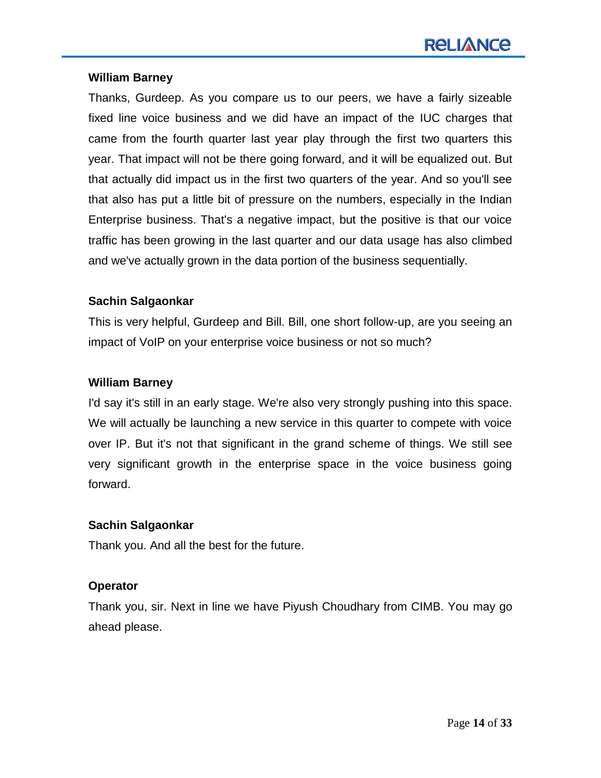## **William Barney**

Thanks, Gurdeep. As you compare us to our peers, we have a fairly sizeable fixed line voice business and we did have an impact of the IUC charges that came from the fourth quarter last year play through the first two quarters this year. That impact will not be there going forward, and it will be equalized out. But that actually did impact us in the first two quarters of the year. And so you'll see that also has put a little bit of pressure on the numbers, especially in the Indian Enterprise business. That's a negative impact, but the positive is that our voice traffic has been growing in the last quarter and our data usage has also climbed and we've actually grown in the data portion of the business sequentially.

## **Sachin Salgaonkar**

This is very helpful, Gurdeep and Bill. Bill, one short follow-up, are you seeing an impact of VoIP on your enterprise voice business or not so much?

#### **William Barney**

I'd say it's still in an early stage. We're also very strongly pushing into this space. We will actually be launching a new service in this quarter to compete with voice over IP. But it's not that significant in the grand scheme of things. We still see very significant growth in the enterprise space in the voice business going forward.

#### **Sachin Salgaonkar**

Thank you. And all the best for the future.

## **Operator**

Thank you, sir. Next in line we have Piyush Choudhary from CIMB. You may go ahead please.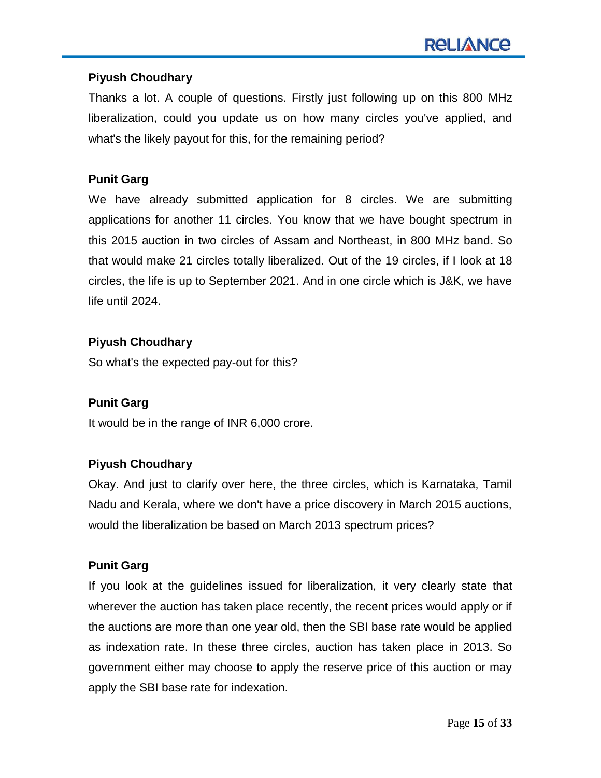## **Piyush Choudhary**

Thanks a lot. A couple of questions. Firstly just following up on this 800 MHz liberalization, could you update us on how many circles you've applied, and what's the likely payout for this, for the remaining period?

## **Punit Garg**

We have already submitted application for 8 circles. We are submitting applications for another 11 circles. You know that we have bought spectrum in this 2015 auction in two circles of Assam and Northeast, in 800 MHz band. So that would make 21 circles totally liberalized. Out of the 19 circles, if I look at 18 circles, the life is up to September 2021. And in one circle which is J&K, we have life until 2024.

## **Piyush Choudhary**

So what's the expected pay-out for this?

## **Punit Garg**

It would be in the range of INR 6,000 crore.

## **Piyush Choudhary**

Okay. And just to clarify over here, the three circles, which is Karnataka, Tamil Nadu and Kerala, where we don't have a price discovery in March 2015 auctions, would the liberalization be based on March 2013 spectrum prices?

#### **Punit Garg**

If you look at the guidelines issued for liberalization, it very clearly state that wherever the auction has taken place recently, the recent prices would apply or if the auctions are more than one year old, then the SBI base rate would be applied as indexation rate. In these three circles, auction has taken place in 2013. So government either may choose to apply the reserve price of this auction or may apply the SBI base rate for indexation.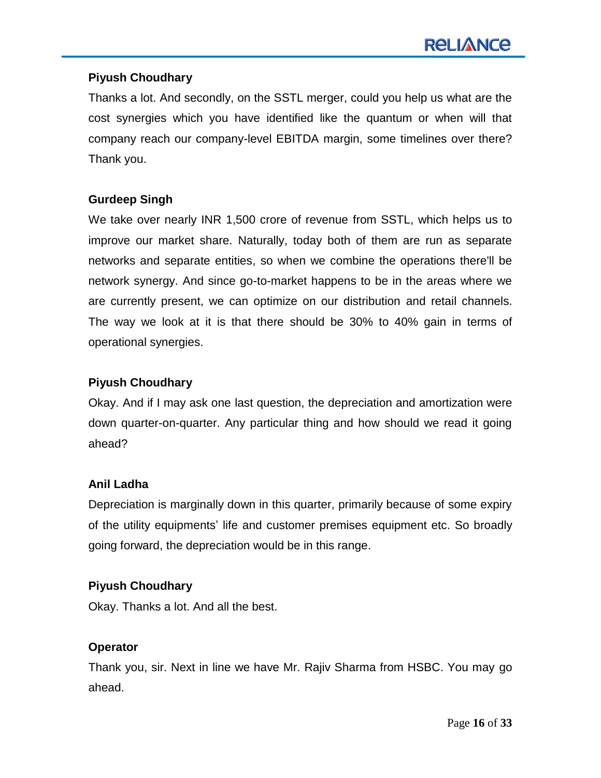## **Piyush Choudhary**

Thanks a lot. And secondly, on the SSTL merger, could you help us what are the cost synergies which you have identified like the quantum or when will that company reach our company-level EBITDA margin, some timelines over there? Thank you.

#### **Gurdeep Singh**

We take over nearly INR 1,500 crore of revenue from SSTL, which helps us to improve our market share. Naturally, today both of them are run as separate networks and separate entities, so when we combine the operations there'll be network synergy. And since go-to-market happens to be in the areas where we are currently present, we can optimize on our distribution and retail channels. The way we look at it is that there should be 30% to 40% gain in terms of operational synergies.

#### **Piyush Choudhary**

Okay. And if I may ask one last question, the depreciation and amortization were down quarter-on-quarter. Any particular thing and how should we read it going ahead?

#### **Anil Ladha**

Depreciation is marginally down in this quarter, primarily because of some expiry of the utility equipments" life and customer premises equipment etc. So broadly going forward, the depreciation would be in this range.

#### **Piyush Choudhary**

Okay. Thanks a lot. And all the best.

## **Operator**

Thank you, sir. Next in line we have Mr. Rajiv Sharma from HSBC. You may go ahead.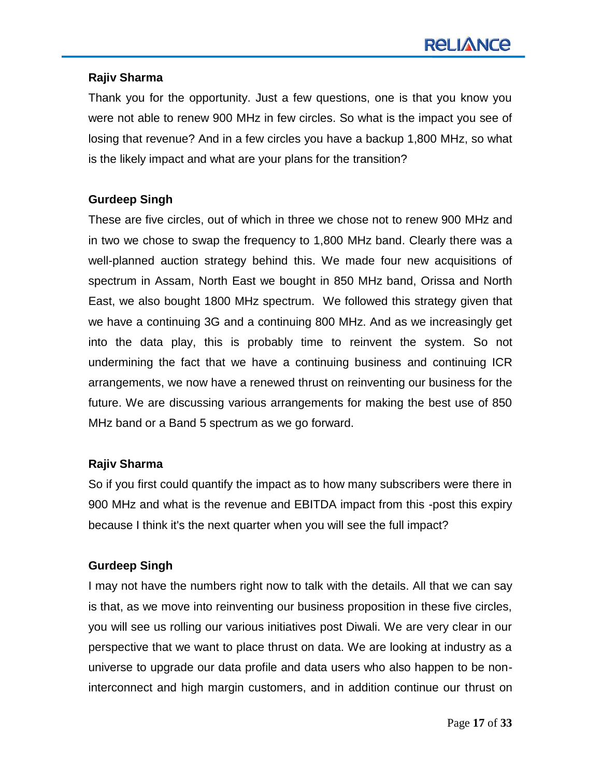## **Rajiv Sharma**

Thank you for the opportunity. Just a few questions, one is that you know you were not able to renew 900 MHz in few circles. So what is the impact you see of losing that revenue? And in a few circles you have a backup 1,800 MHz, so what is the likely impact and what are your plans for the transition?

## **Gurdeep Singh**

These are five circles, out of which in three we chose not to renew 900 MHz and in two we chose to swap the frequency to 1,800 MHz band. Clearly there was a well-planned auction strategy behind this. We made four new acquisitions of spectrum in Assam, North East we bought in 850 MHz band, Orissa and North East, we also bought 1800 MHz spectrum. We followed this strategy given that we have a continuing 3G and a continuing 800 MHz. And as we increasingly get into the data play, this is probably time to reinvent the system. So not undermining the fact that we have a continuing business and continuing ICR arrangements, we now have a renewed thrust on reinventing our business for the future. We are discussing various arrangements for making the best use of 850 MHz band or a Band 5 spectrum as we go forward.

## **Rajiv Sharma**

So if you first could quantify the impact as to how many subscribers were there in 900 MHz and what is the revenue and EBITDA impact from this -post this expiry because I think it's the next quarter when you will see the full impact?

## **Gurdeep Singh**

I may not have the numbers right now to talk with the details. All that we can say is that, as we move into reinventing our business proposition in these five circles, you will see us rolling our various initiatives post Diwali. We are very clear in our perspective that we want to place thrust on data. We are looking at industry as a universe to upgrade our data profile and data users who also happen to be noninterconnect and high margin customers, and in addition continue our thrust on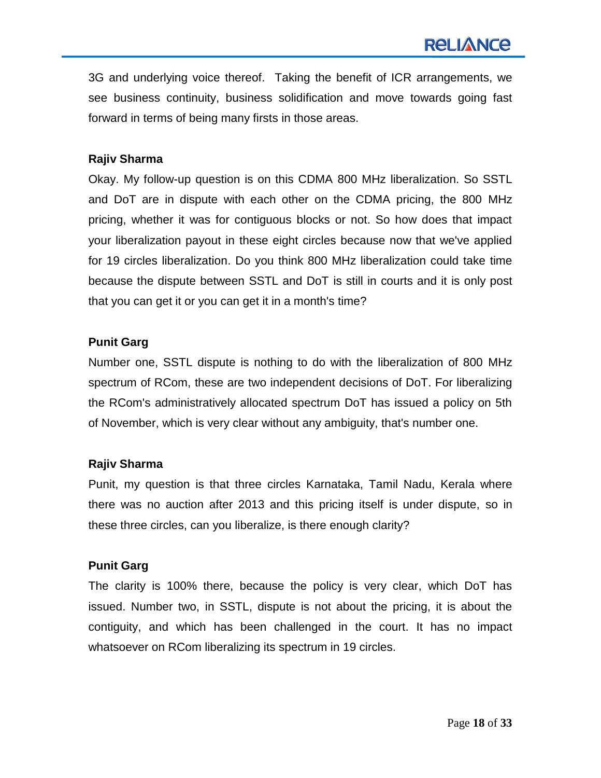3G and underlying voice thereof. Taking the benefit of ICR arrangements, we see business continuity, business solidification and move towards going fast forward in terms of being many firsts in those areas.

#### **Rajiv Sharma**

Okay. My follow-up question is on this CDMA 800 MHz liberalization. So SSTL and DoT are in dispute with each other on the CDMA pricing, the 800 MHz pricing, whether it was for contiguous blocks or not. So how does that impact your liberalization payout in these eight circles because now that we've applied for 19 circles liberalization. Do you think 800 MHz liberalization could take time because the dispute between SSTL and DoT is still in courts and it is only post that you can get it or you can get it in a month's time?

#### **Punit Garg**

Number one, SSTL dispute is nothing to do with the liberalization of 800 MHz spectrum of RCom, these are two independent decisions of DoT. For liberalizing the RCom's administratively allocated spectrum DoT has issued a policy on 5th of November, which is very clear without any ambiguity, that's number one.

#### **Rajiv Sharma**

Punit, my question is that three circles Karnataka, Tamil Nadu, Kerala where there was no auction after 2013 and this pricing itself is under dispute, so in these three circles, can you liberalize, is there enough clarity?

#### **Punit Garg**

The clarity is 100% there, because the policy is very clear, which DoT has issued. Number two, in SSTL, dispute is not about the pricing, it is about the contiguity, and which has been challenged in the court. It has no impact whatsoever on RCom liberalizing its spectrum in 19 circles.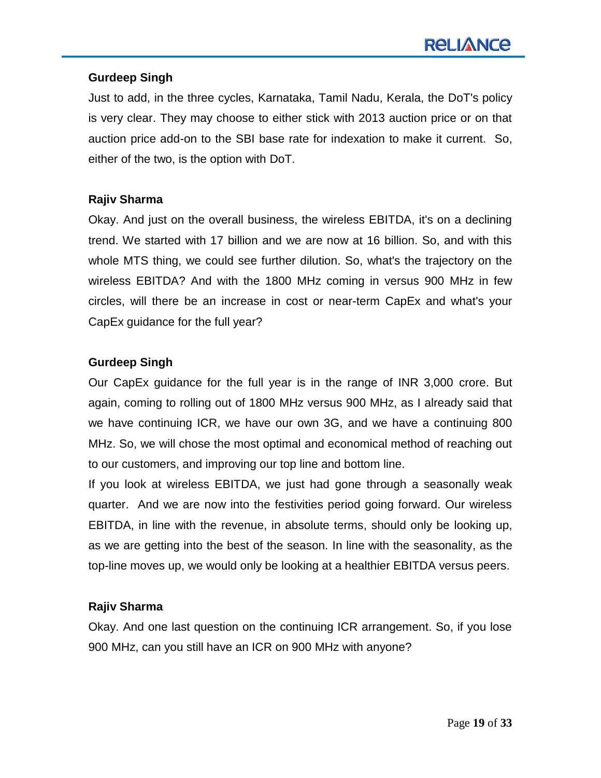## **Gurdeep Singh**

Just to add, in the three cycles, Karnataka, Tamil Nadu, Kerala, the DoT's policy is very clear. They may choose to either stick with 2013 auction price or on that auction price add-on to the SBI base rate for indexation to make it current. So, either of the two, is the option with DoT.

## **Rajiv Sharma**

Okay. And just on the overall business, the wireless EBITDA, it's on a declining trend. We started with 17 billion and we are now at 16 billion. So, and with this whole MTS thing, we could see further dilution. So, what's the trajectory on the wireless EBITDA? And with the 1800 MHz coming in versus 900 MHz in few circles, will there be an increase in cost or near-term CapEx and what's your CapEx guidance for the full year?

## **Gurdeep Singh**

Our CapEx guidance for the full year is in the range of INR 3,000 crore. But again, coming to rolling out of 1800 MHz versus 900 MHz, as I already said that we have continuing ICR, we have our own 3G, and we have a continuing 800 MHz. So, we will chose the most optimal and economical method of reaching out to our customers, and improving our top line and bottom line.

If you look at wireless EBITDA, we just had gone through a seasonally weak quarter. And we are now into the festivities period going forward. Our wireless EBITDA, in line with the revenue, in absolute terms, should only be looking up, as we are getting into the best of the season. In line with the seasonality, as the top-line moves up, we would only be looking at a healthier EBITDA versus peers.

## **Rajiv Sharma**

Okay. And one last question on the continuing ICR arrangement. So, if you lose 900 MHz, can you still have an ICR on 900 MHz with anyone?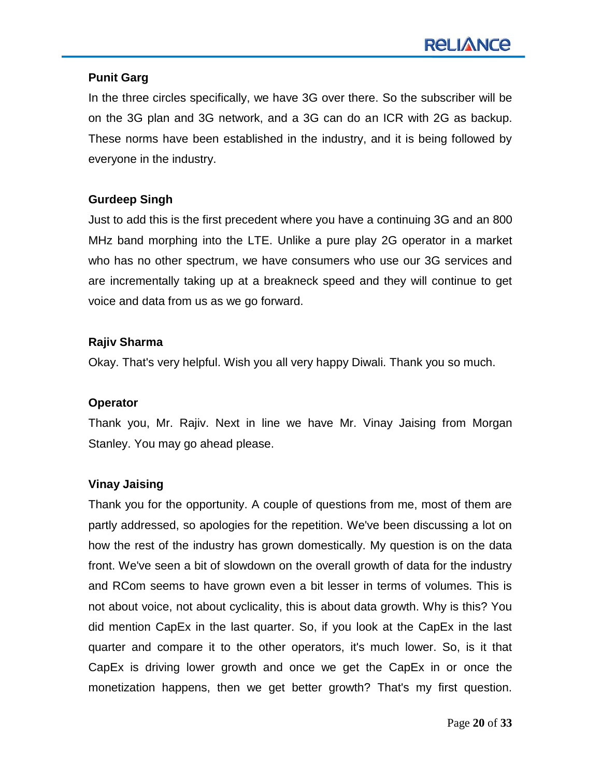#### **Punit Garg**

In the three circles specifically, we have 3G over there. So the subscriber will be on the 3G plan and 3G network, and a 3G can do an ICR with 2G as backup. These norms have been established in the industry, and it is being followed by everyone in the industry.

## **Gurdeep Singh**

Just to add this is the first precedent where you have a continuing 3G and an 800 MHz band morphing into the LTE. Unlike a pure play 2G operator in a market who has no other spectrum, we have consumers who use our 3G services and are incrementally taking up at a breakneck speed and they will continue to get voice and data from us as we go forward.

## **Rajiv Sharma**

Okay. That's very helpful. Wish you all very happy Diwali. Thank you so much.

#### **Operator**

Thank you, Mr. Rajiv. Next in line we have Mr. Vinay Jaising from Morgan Stanley. You may go ahead please.

## **Vinay Jaising**

Thank you for the opportunity. A couple of questions from me, most of them are partly addressed, so apologies for the repetition. We've been discussing a lot on how the rest of the industry has grown domestically. My question is on the data front. We've seen a bit of slowdown on the overall growth of data for the industry and RCom seems to have grown even a bit lesser in terms of volumes. This is not about voice, not about cyclicality, this is about data growth. Why is this? You did mention CapEx in the last quarter. So, if you look at the CapEx in the last quarter and compare it to the other operators, it's much lower. So, is it that CapEx is driving lower growth and once we get the CapEx in or once the monetization happens, then we get better growth? That's my first question.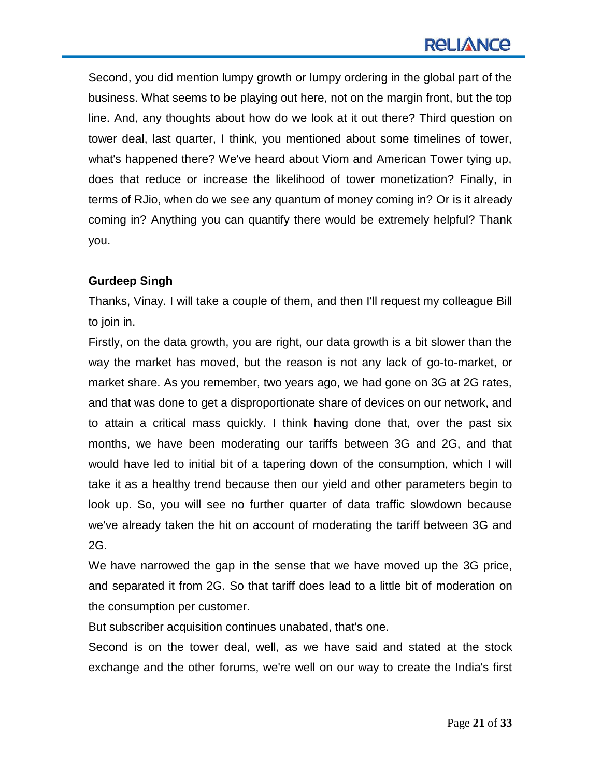# **RELIANCE**

Second, you did mention lumpy growth or lumpy ordering in the global part of the business. What seems to be playing out here, not on the margin front, but the top line. And, any thoughts about how do we look at it out there? Third question on tower deal, last quarter, I think, you mentioned about some timelines of tower, what's happened there? We've heard about Viom and American Tower tying up, does that reduce or increase the likelihood of tower monetization? Finally, in terms of RJio, when do we see any quantum of money coming in? Or is it already coming in? Anything you can quantify there would be extremely helpful? Thank you.

#### **Gurdeep Singh**

Thanks, Vinay. I will take a couple of them, and then I'll request my colleague Bill to join in.

Firstly, on the data growth, you are right, our data growth is a bit slower than the way the market has moved, but the reason is not any lack of go-to-market, or market share. As you remember, two years ago, we had gone on 3G at 2G rates, and that was done to get a disproportionate share of devices on our network, and to attain a critical mass quickly. I think having done that, over the past six months, we have been moderating our tariffs between 3G and 2G, and that would have led to initial bit of a tapering down of the consumption, which I will take it as a healthy trend because then our yield and other parameters begin to look up. So, you will see no further quarter of data traffic slowdown because we've already taken the hit on account of moderating the tariff between 3G and 2G.

We have narrowed the gap in the sense that we have moved up the 3G price, and separated it from 2G. So that tariff does lead to a little bit of moderation on the consumption per customer.

But subscriber acquisition continues unabated, that's one.

Second is on the tower deal, well, as we have said and stated at the stock exchange and the other forums, we're well on our way to create the India's first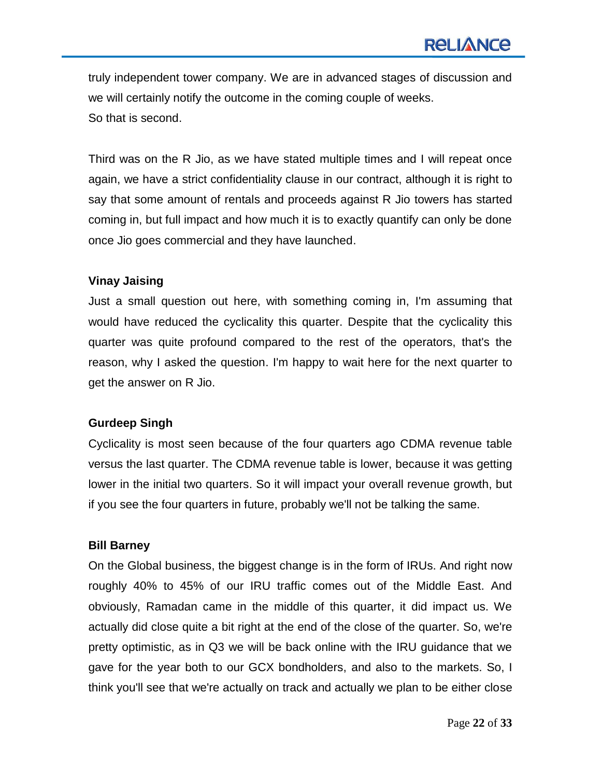truly independent tower company. We are in advanced stages of discussion and we will certainly notify the outcome in the coming couple of weeks. So that is second.

Third was on the R Jio, as we have stated multiple times and I will repeat once again, we have a strict confidentiality clause in our contract, although it is right to say that some amount of rentals and proceeds against R Jio towers has started coming in, but full impact and how much it is to exactly quantify can only be done once Jio goes commercial and they have launched.

## **Vinay Jaising**

Just a small question out here, with something coming in, I'm assuming that would have reduced the cyclicality this quarter. Despite that the cyclicality this quarter was quite profound compared to the rest of the operators, that's the reason, why I asked the question. I'm happy to wait here for the next quarter to get the answer on R Jio.

## **Gurdeep Singh**

Cyclicality is most seen because of the four quarters ago CDMA revenue table versus the last quarter. The CDMA revenue table is lower, because it was getting lower in the initial two quarters. So it will impact your overall revenue growth, but if you see the four quarters in future, probably we'll not be talking the same.

## **Bill Barney**

On the Global business, the biggest change is in the form of IRUs. And right now roughly 40% to 45% of our IRU traffic comes out of the Middle East. And obviously, Ramadan came in the middle of this quarter, it did impact us. We actually did close quite a bit right at the end of the close of the quarter. So, we're pretty optimistic, as in Q3 we will be back online with the IRU guidance that we gave for the year both to our GCX bondholders, and also to the markets. So, I think you'll see that we're actually on track and actually we plan to be either close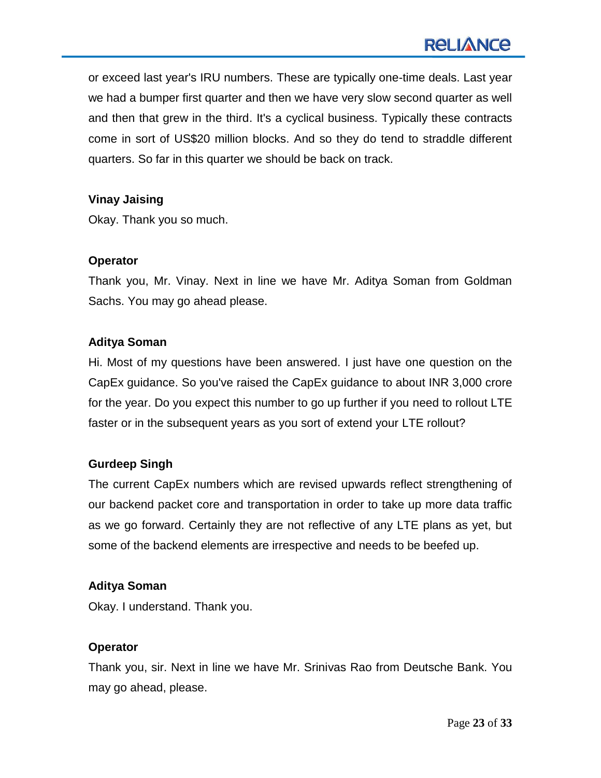or exceed last year's IRU numbers. These are typically one-time deals. Last year we had a bumper first quarter and then we have very slow second quarter as well and then that grew in the third. It's a cyclical business. Typically these contracts come in sort of US\$20 million blocks. And so they do tend to straddle different quarters. So far in this quarter we should be back on track.

## **Vinay Jaising**

Okay. Thank you so much.

#### **Operator**

Thank you, Mr. Vinay. Next in line we have Mr. Aditya Soman from Goldman Sachs. You may go ahead please.

## **Aditya Soman**

Hi. Most of my questions have been answered. I just have one question on the CapEx guidance. So you've raised the CapEx guidance to about INR 3,000 crore for the year. Do you expect this number to go up further if you need to rollout LTE faster or in the subsequent years as you sort of extend your LTE rollout?

## **Gurdeep Singh**

The current CapEx numbers which are revised upwards reflect strengthening of our backend packet core and transportation in order to take up more data traffic as we go forward. Certainly they are not reflective of any LTE plans as yet, but some of the backend elements are irrespective and needs to be beefed up.

#### **Aditya Soman**

Okay. I understand. Thank you.

## **Operator**

Thank you, sir. Next in line we have Mr. Srinivas Rao from Deutsche Bank. You may go ahead, please.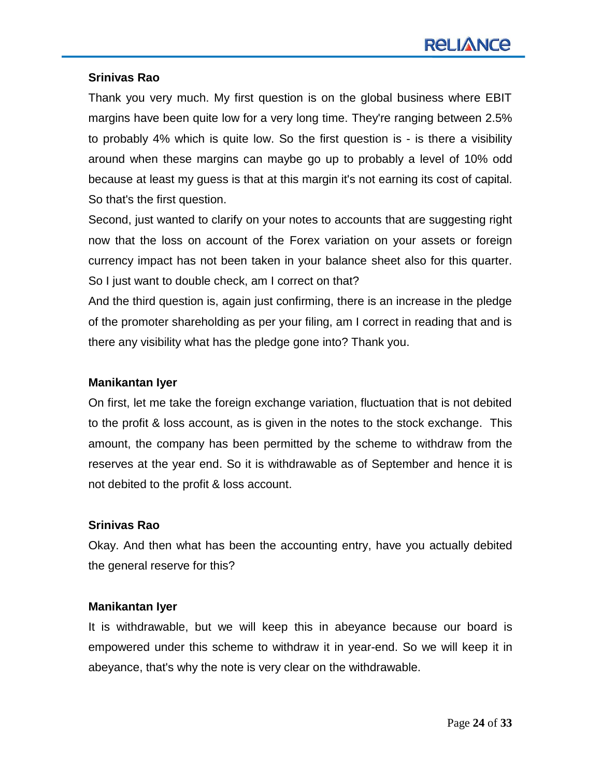#### **Srinivas Rao**

Thank you very much. My first question is on the global business where EBIT margins have been quite low for a very long time. They're ranging between 2.5% to probably 4% which is quite low. So the first question is - is there a visibility around when these margins can maybe go up to probably a level of 10% odd because at least my guess is that at this margin it's not earning its cost of capital. So that's the first question.

Second, just wanted to clarify on your notes to accounts that are suggesting right now that the loss on account of the Forex variation on your assets or foreign currency impact has not been taken in your balance sheet also for this quarter. So I just want to double check, am I correct on that?

And the third question is, again just confirming, there is an increase in the pledge of the promoter shareholding as per your filing, am I correct in reading that and is there any visibility what has the pledge gone into? Thank you.

#### **Manikantan Iyer**

On first, let me take the foreign exchange variation, fluctuation that is not debited to the profit & loss account, as is given in the notes to the stock exchange. This amount, the company has been permitted by the scheme to withdraw from the reserves at the year end. So it is withdrawable as of September and hence it is not debited to the profit & loss account.

#### **Srinivas Rao**

Okay. And then what has been the accounting entry, have you actually debited the general reserve for this?

#### **Manikantan Iyer**

It is withdrawable, but we will keep this in abeyance because our board is empowered under this scheme to withdraw it in year-end. So we will keep it in abeyance, that's why the note is very clear on the withdrawable.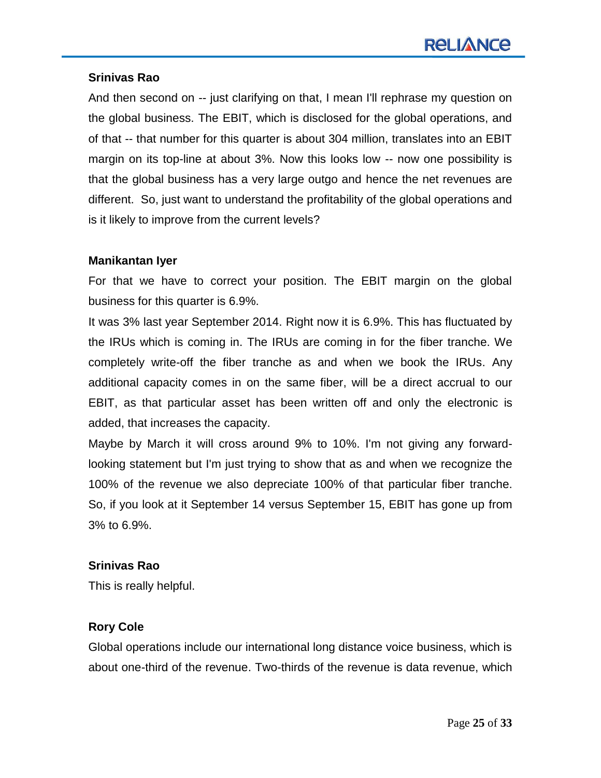## **Srinivas Rao**

And then second on -- just clarifying on that, I mean I'll rephrase my question on the global business. The EBIT, which is disclosed for the global operations, and of that -- that number for this quarter is about 304 million, translates into an EBIT margin on its top-line at about 3%. Now this looks low -- now one possibility is that the global business has a very large outgo and hence the net revenues are different. So, just want to understand the profitability of the global operations and is it likely to improve from the current levels?

#### **Manikantan Iyer**

For that we have to correct your position. The EBIT margin on the global business for this quarter is 6.9%.

It was 3% last year September 2014. Right now it is 6.9%. This has fluctuated by the IRUs which is coming in. The IRUs are coming in for the fiber tranche. We completely write-off the fiber tranche as and when we book the IRUs. Any additional capacity comes in on the same fiber, will be a direct accrual to our EBIT, as that particular asset has been written off and only the electronic is added, that increases the capacity.

Maybe by March it will cross around 9% to 10%. I'm not giving any forwardlooking statement but I'm just trying to show that as and when we recognize the 100% of the revenue we also depreciate 100% of that particular fiber tranche. So, if you look at it September 14 versus September 15, EBIT has gone up from 3% to 6.9%.

#### **Srinivas Rao**

This is really helpful.

## **Rory Cole**

Global operations include our international long distance voice business, which is about one-third of the revenue. Two-thirds of the revenue is data revenue, which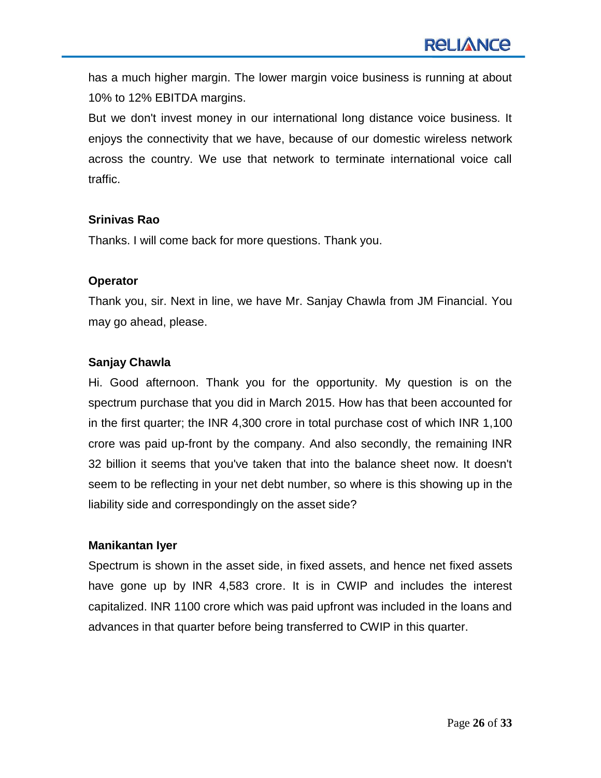has a much higher margin. The lower margin voice business is running at about 10% to 12% EBITDA margins.

But we don't invest money in our international long distance voice business. It enjoys the connectivity that we have, because of our domestic wireless network across the country. We use that network to terminate international voice call traffic.

#### **Srinivas Rao**

Thanks. I will come back for more questions. Thank you.

## **Operator**

Thank you, sir. Next in line, we have Mr. Sanjay Chawla from JM Financial. You may go ahead, please.

## **Sanjay Chawla**

Hi. Good afternoon. Thank you for the opportunity. My question is on the spectrum purchase that you did in March 2015. How has that been accounted for in the first quarter; the INR 4,300 crore in total purchase cost of which INR 1,100 crore was paid up-front by the company. And also secondly, the remaining INR 32 billion it seems that you've taken that into the balance sheet now. It doesn't seem to be reflecting in your net debt number, so where is this showing up in the liability side and correspondingly on the asset side?

## **Manikantan Iyer**

Spectrum is shown in the asset side, in fixed assets, and hence net fixed assets have gone up by INR 4,583 crore. It is in CWIP and includes the interest capitalized. INR 1100 crore which was paid upfront was included in the loans and advances in that quarter before being transferred to CWIP in this quarter.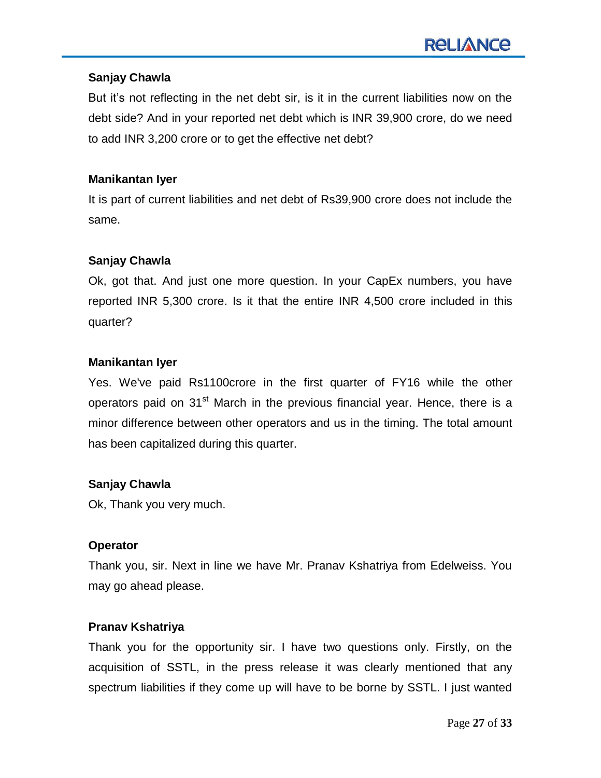## **Sanjay Chawla**

But it's not reflecting in the net debt sir, is it in the current liabilities now on the debt side? And in your reported net debt which is INR 39,900 crore, do we need to add INR 3,200 crore or to get the effective net debt?

## **Manikantan Iyer**

It is part of current liabilities and net debt of Rs39,900 crore does not include the same.

## **Sanjay Chawla**

Ok, got that. And just one more question. In your CapEx numbers, you have reported INR 5,300 crore. Is it that the entire INR 4,500 crore included in this quarter?

## **Manikantan Iyer**

Yes. We've paid Rs1100crore in the first quarter of FY16 while the other operators paid on 31<sup>st</sup> March in the previous financial year. Hence, there is a minor difference between other operators and us in the timing. The total amount has been capitalized during this quarter.

## **Sanjay Chawla**

Ok, Thank you very much.

## **Operator**

Thank you, sir. Next in line we have Mr. Pranav Kshatriya from Edelweiss. You may go ahead please.

## **Pranav Kshatriya**

Thank you for the opportunity sir. I have two questions only. Firstly, on the acquisition of SSTL, in the press release it was clearly mentioned that any spectrum liabilities if they come up will have to be borne by SSTL. I just wanted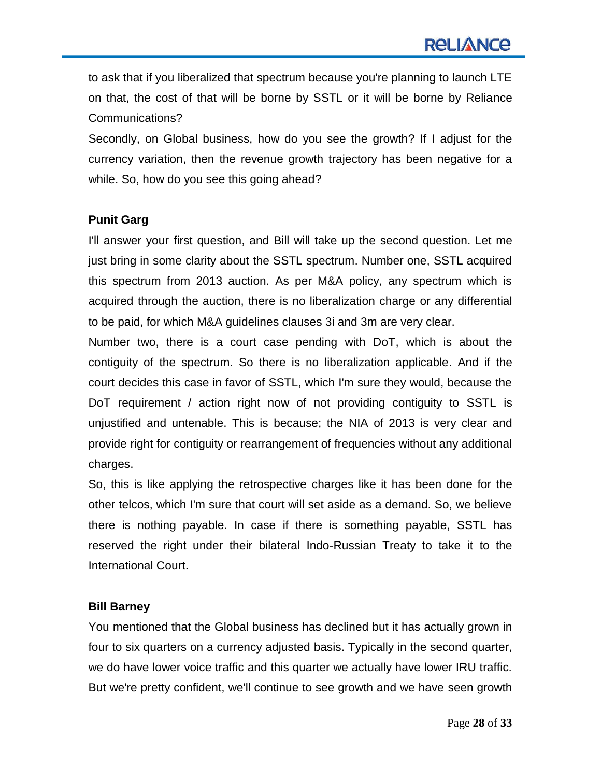to ask that if you liberalized that spectrum because you're planning to launch LTE on that, the cost of that will be borne by SSTL or it will be borne by Reliance Communications?

Secondly, on Global business, how do you see the growth? If I adjust for the currency variation, then the revenue growth trajectory has been negative for a while. So, how do you see this going ahead?

## **Punit Garg**

I'll answer your first question, and Bill will take up the second question. Let me just bring in some clarity about the SSTL spectrum. Number one, SSTL acquired this spectrum from 2013 auction. As per M&A policy, any spectrum which is acquired through the auction, there is no liberalization charge or any differential to be paid, for which M&A guidelines clauses 3i and 3m are very clear.

Number two, there is a court case pending with DoT, which is about the contiguity of the spectrum. So there is no liberalization applicable. And if the court decides this case in favor of SSTL, which I'm sure they would, because the DoT requirement / action right now of not providing contiguity to SSTL is unjustified and untenable. This is because; the NIA of 2013 is very clear and provide right for contiguity or rearrangement of frequencies without any additional charges.

So, this is like applying the retrospective charges like it has been done for the other telcos, which I'm sure that court will set aside as a demand. So, we believe there is nothing payable. In case if there is something payable, SSTL has reserved the right under their bilateral Indo-Russian Treaty to take it to the International Court.

#### **Bill Barney**

You mentioned that the Global business has declined but it has actually grown in four to six quarters on a currency adjusted basis. Typically in the second quarter, we do have lower voice traffic and this quarter we actually have lower IRU traffic. But we're pretty confident, we'll continue to see growth and we have seen growth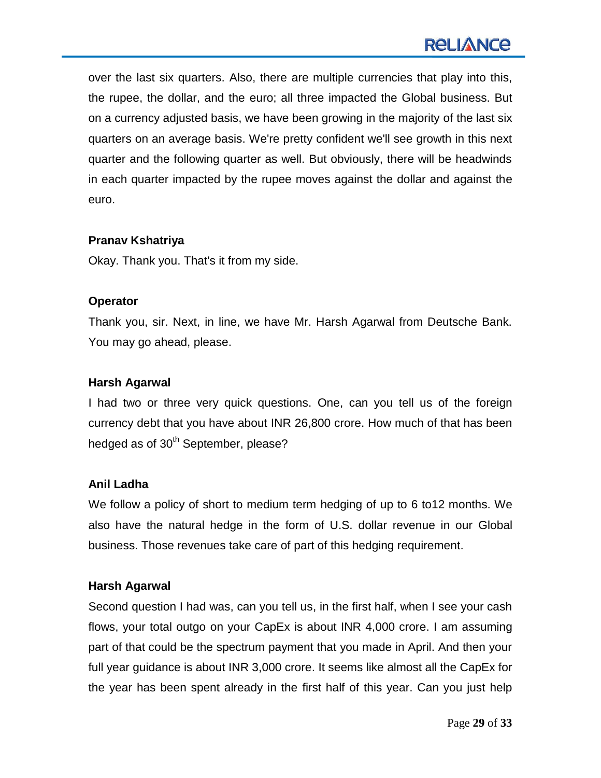over the last six quarters. Also, there are multiple currencies that play into this, the rupee, the dollar, and the euro; all three impacted the Global business. But on a currency adjusted basis, we have been growing in the majority of the last six quarters on an average basis. We're pretty confident we'll see growth in this next quarter and the following quarter as well. But obviously, there will be headwinds in each quarter impacted by the rupee moves against the dollar and against the euro.

## **Pranav Kshatriya**

Okay. Thank you. That's it from my side.

## **Operator**

Thank you, sir. Next, in line, we have Mr. Harsh Agarwal from Deutsche Bank. You may go ahead, please.

## **Harsh Agarwal**

I had two or three very quick questions. One, can you tell us of the foreign currency debt that you have about INR 26,800 crore. How much of that has been hedged as of 30<sup>th</sup> September, please?

## **Anil Ladha**

We follow a policy of short to medium term hedging of up to 6 to12 months. We also have the natural hedge in the form of U.S. dollar revenue in our Global business. Those revenues take care of part of this hedging requirement.

#### **Harsh Agarwal**

Second question I had was, can you tell us, in the first half, when I see your cash flows, your total outgo on your CapEx is about INR 4,000 crore. I am assuming part of that could be the spectrum payment that you made in April. And then your full year guidance is about INR 3,000 crore. It seems like almost all the CapEx for the year has been spent already in the first half of this year. Can you just help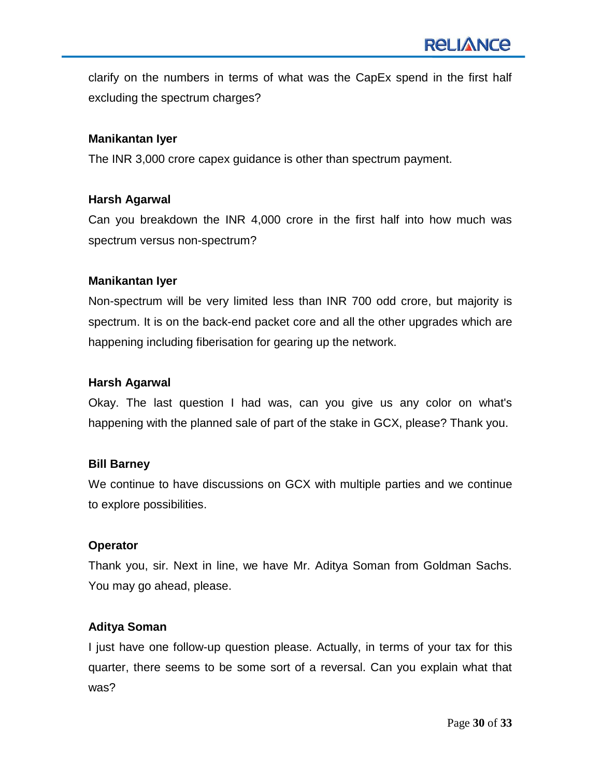clarify on the numbers in terms of what was the CapEx spend in the first half excluding the spectrum charges?

#### **Manikantan Iyer**

The INR 3,000 crore capex guidance is other than spectrum payment.

## **Harsh Agarwal**

Can you breakdown the INR 4,000 crore in the first half into how much was spectrum versus non-spectrum?

## **Manikantan Iyer**

Non-spectrum will be very limited less than INR 700 odd crore, but majority is spectrum. It is on the back-end packet core and all the other upgrades which are happening including fiberisation for gearing up the network.

## **Harsh Agarwal**

Okay. The last question I had was, can you give us any color on what's happening with the planned sale of part of the stake in GCX, please? Thank you.

## **Bill Barney**

We continue to have discussions on GCX with multiple parties and we continue to explore possibilities.

## **Operator**

Thank you, sir. Next in line, we have Mr. Aditya Soman from Goldman Sachs. You may go ahead, please.

## **Aditya Soman**

I just have one follow-up question please. Actually, in terms of your tax for this quarter, there seems to be some sort of a reversal. Can you explain what that was?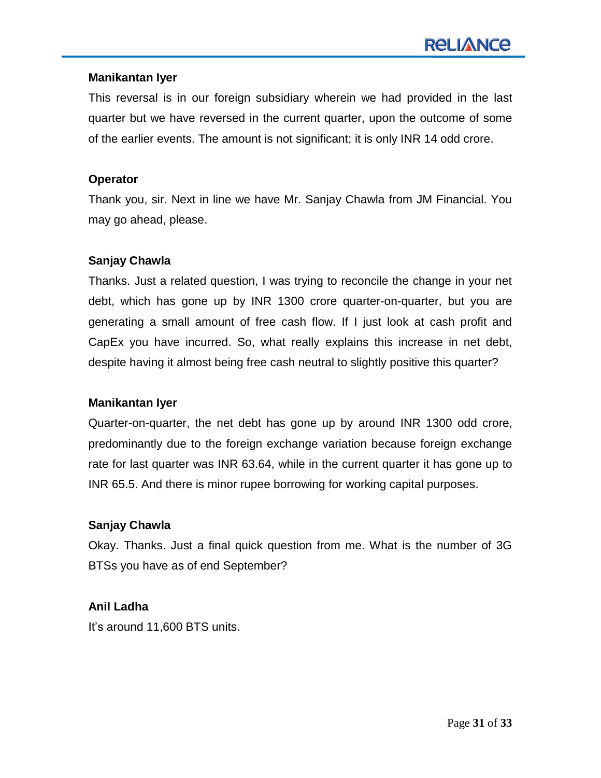#### **Manikantan Iyer**

This reversal is in our foreign subsidiary wherein we had provided in the last quarter but we have reversed in the current quarter, upon the outcome of some of the earlier events. The amount is not significant; it is only INR 14 odd crore.

#### **Operator**

Thank you, sir. Next in line we have Mr. Sanjay Chawla from JM Financial. You may go ahead, please.

## **Sanjay Chawla**

Thanks. Just a related question, I was trying to reconcile the change in your net debt, which has gone up by INR 1300 crore quarter-on-quarter, but you are generating a small amount of free cash flow. If I just look at cash profit and CapEx you have incurred. So, what really explains this increase in net debt, despite having it almost being free cash neutral to slightly positive this quarter?

## **Manikantan Iyer**

Quarter-on-quarter, the net debt has gone up by around INR 1300 odd crore, predominantly due to the foreign exchange variation because foreign exchange rate for last quarter was INR 63.64, while in the current quarter it has gone up to INR 65.5. And there is minor rupee borrowing for working capital purposes.

## **Sanjay Chawla**

Okay. Thanks. Just a final quick question from me. What is the number of 3G BTSs you have as of end September?

## **Anil Ladha**

It's around 11,600 BTS units.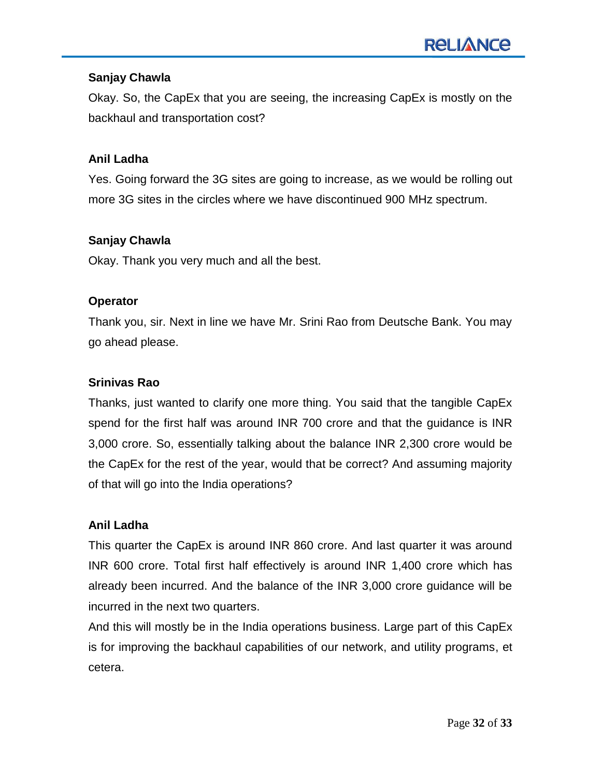## **Sanjay Chawla**

Okay. So, the CapEx that you are seeing, the increasing CapEx is mostly on the backhaul and transportation cost?

## **Anil Ladha**

Yes. Going forward the 3G sites are going to increase, as we would be rolling out more 3G sites in the circles where we have discontinued 900 MHz spectrum.

## **Sanjay Chawla**

Okay. Thank you very much and all the best.

## **Operator**

Thank you, sir. Next in line we have Mr. Srini Rao from Deutsche Bank. You may go ahead please.

## **Srinivas Rao**

Thanks, just wanted to clarify one more thing. You said that the tangible CapEx spend for the first half was around INR 700 crore and that the guidance is INR 3,000 crore. So, essentially talking about the balance INR 2,300 crore would be the CapEx for the rest of the year, would that be correct? And assuming majority of that will go into the India operations?

## **Anil Ladha**

This quarter the CapEx is around INR 860 crore. And last quarter it was around INR 600 crore. Total first half effectively is around INR 1,400 crore which has already been incurred. And the balance of the INR 3,000 crore guidance will be incurred in the next two quarters.

And this will mostly be in the India operations business. Large part of this CapEx is for improving the backhaul capabilities of our network, and utility programs, et cetera.